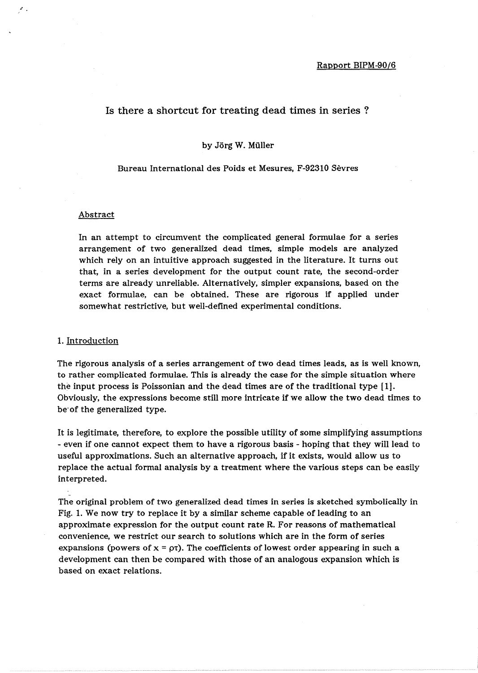## Is there a shortcut for treating dead times in series ?

### by Jörg W. Müller

### Bureau International des Poids et Mesures, F-92310 Sevres

## Abstract

.'

In an attempt to circumvent the complicated general formulae for a series arrangement of two generalized dead times, simple models are analyzed which rely on an intuitive approach suggested in the literature. It turns out that, in a series development for the output count rate, the second-order terms are already unreliable. Alternatively, simpler expansions, based on the exact formulae, can be obtained. These are rigorous if applied under somewhat restrictive, but well-defined experimental conditions.

### 1. Introduction

The rigorous analysis of a series arrangement of two dead times leads, as is well known, to rather complicated formulae. This is already the case for the simple situation where the input process is Poissonian and the dead times are of the traditional type [1]. Obviously, the expressions become still more intricate if we allow the two dead times to be-of the generalized type.

It is legitimate, therefore, to explore the possible utility of some simplifying assumptions - even if one cannot expect them to have a rigorous basis - hoping that they will lead to useful approximations. Such an alternative approach, if it exists, would allow us to replace the actual formal analysis by a treatment where the various steps can be easily interpreted.

The original problem of two generalized dead times in series is sketched symbolically in Fig. 1. We now try to replace it by a similar scheme capable of leading to an approximate expression for the output count rate R. For reasons of mathematical convenience, we restrict our search to solutions which are in the form of series expansions (powers of  $x = \rho\tau$ ). The coefficients of lowest order appearing in such a development can then be compared with those of an analogous expansion which is based on exact relations.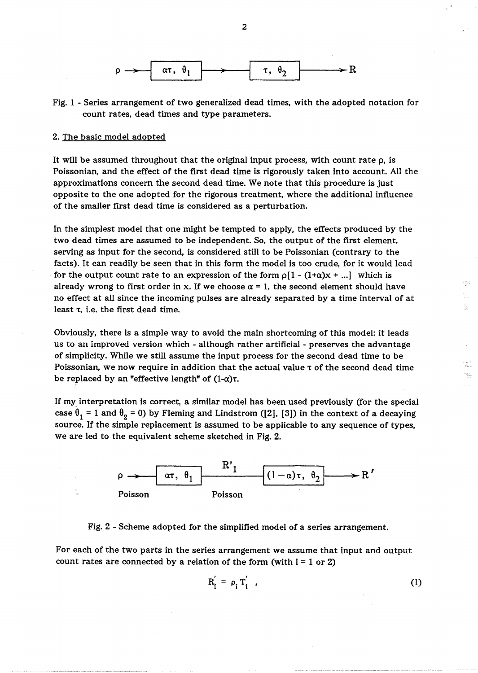

Fig. 1 - Series arrangement of two generalized dead times, with the adopted notation for count rates, dead times and type parameters.

### 2. The basic model adopted

It will be assumed throughout that the original input process, with count rate  $\rho$ , is Poissonian, and the effect of the first dead time is rigorously taken into account. All the approximations concern the second dead time. We note that this procedure is just opposite to the one adopted for the rigorous treatment, where the additional influence of the smaller first dead time is considered as a perturbation.

In the simplest model that one might be tempted to apply, the effects produced by the two dead times are assumed to be independent. So, the output of the first element, serving as input for the second, is considered still to be Poissonian (contrary to the facts). It can readily be seen that in this form the model is too crude, for it would lead for the output count rate to an expression of the form  $\rho[1 - (1+\alpha)x + ...]$  which is already wrong to first order in x. If we choose  $\alpha = 1$ , the second element should have no effect at all since the incoming pulses are already separated by a time interval of at least  $\tau$ , i.e. the first dead time.

Obviously, there is a simple way to avoid the main shortcoming of this model: it leads us to an improved version which - although rather artificial - preserves the advantage of simplicity. While we still assume the input process for the second dead time to be Poissonian, we now require in addition that the actual value  $\tau$  of the second dead time be replaced by an "effective length" of  $(1-\alpha)\tau$ .

If my interpretation is correct, a similar model has been used previously (for the special case  $\theta_1 = 1$  and  $\theta_2 = 0$ ) by Fleming and Lindstrom ([2], [3]) in the context of a decaying source. If the simple replacement is assumed to be applicable to any sequence of types, we are led to the equivalent scheme sketched in Fig. 2.



Fig. 2 - Scheme adopted for the simplified model of a series arrangement.

For each of the two parts in the series arrangement we assume that input and output count rates are connected by a relation of the form (with  $i = 1$  or 2)

$$
R'_{i} = \rho_{i} T'_{i} \tag{1}
$$

i gori.<br>Godine V. Ş.

 $\mathbb{Z}^m$ X. . . . .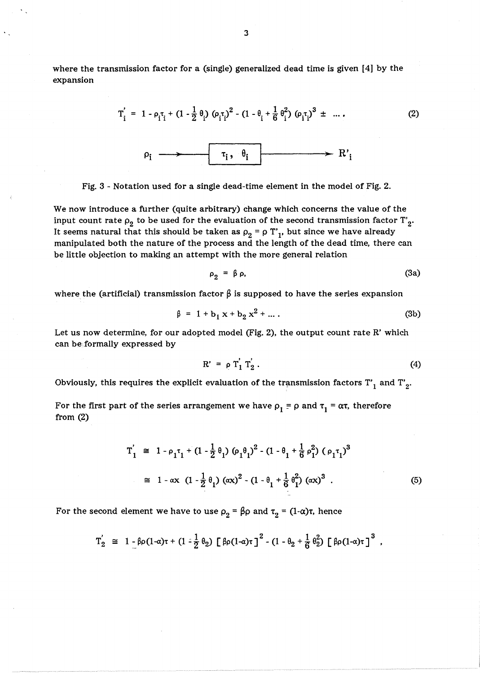where the transmission factor for a (single) generalized dead time is given [4J by the expansion

$$
T'_{i} = 1 - \rho_{i}\tau_{i} + (1 - \frac{1}{2}\theta_{i}) (\rho_{i}\tau_{i})^{2} - (1 - \theta_{i} + \frac{1}{6}\theta_{i}^{2}) (\rho_{i}\tau_{i})^{3} \pm \dots
$$
 (2)  

$$
\rho_{i} \longrightarrow \tau_{i}, \theta_{i} \longrightarrow R'_{i}
$$

Fig. 3 - Notation used for a single dead-time element in the model of Fig. 2.

We now introduce a further (quite arbitrary) change which concerns the value of the input count rate  $\rho_2$  to be used for the evaluation of the second transmission factor  $T'_2$ . It seems natural that this should be taken as  $\rho_2 = \rho T'_1$ , but since we have already manipulated both the nature of the process and the length of the dead time, there can be little objection to making an attempt with the more general relation

$$
\rho_2 = \beta \rho, \tag{3a}
$$

where the (artificial) transmission factor  $\beta$  is supposed to have the series expansion

$$
\beta = 1 + b_1 x + b_2 x^2 + \dots
$$
 (3b)

Let us now determine, for our adopted model (Fig. 2), the output count rate R' which can be formally expressed by

$$
\mathbf{R'} = \rho \, \mathbf{T}_1' \, \mathbf{T}_2' \,. \tag{4}
$$

Obviously, this requires the explicit evaluation of the transmission factors  $T'_1$  and  $T'_2$ .

For the first part of the series arrangement we have  $\rho_1 = \rho$  and  $\tau_1 = \alpha \tau$ , therefore from (2)

$$
T'_{1} \cong 1 - \rho_{1} \tau_{1} + (1 - \frac{1}{2} \theta_{1}) (\rho_{1} \theta_{1})^{2} - (1 - \theta_{1} + \frac{1}{6} \rho_{1}^{2}) (\rho_{1} \tau_{1})^{3}
$$
  

$$
\cong 1 - \alpha x (1 - \frac{1}{2} \theta_{1}) (\alpha x)^{2} - (1 - \theta_{1} + \frac{1}{6} \theta_{1}^{2}) (\alpha x)^{3} . \tag{5}
$$

For the second element we have to use  $\rho_2 = \beta \rho$  and  $\tau_2 = (1-\alpha)\tau$ , hence

$$
T_2' \cong 1 - \beta \rho (1-\alpha) \tau + (1-\frac{1}{2} \theta_2) \left[ \beta \rho (1-\alpha) \tau \right]^2 - (1-\theta_2+\frac{1}{6} \theta_2^2) \left[ \beta \rho (1-\alpha) \tau \right]^3 ,
$$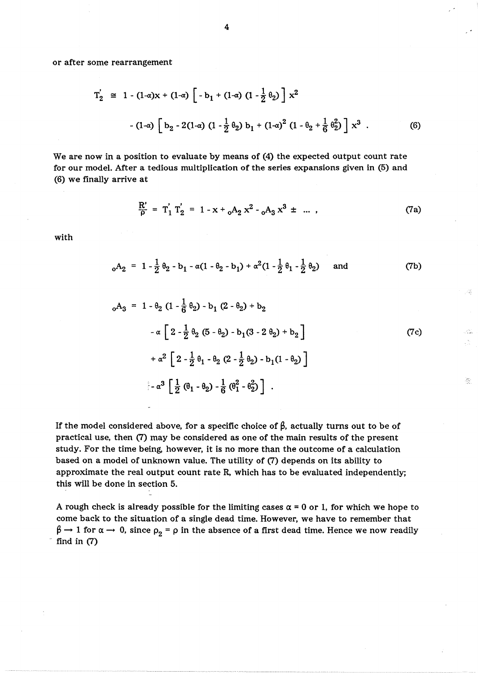or after some rearrangement

$$
T'_2 \cong 1 - (1-\alpha)x + (1-\alpha) \left[ -b_1 + (1-\alpha) (1 - \frac{1}{2} \theta_2) \right] x^2
$$
  
- 
$$
(1-\alpha) \left[ b_2 - 2(1-\alpha) (1 - \frac{1}{2} \theta_2) b_1 + (1-\alpha)^2 (1 - \theta_2 + \frac{1}{6} \theta_2^2) \right] x^3
$$
 (6)

We are now in a position to evaluate by means of (4) the expected output count rate for our model. After a tedious multiplication of the series expansions given in (5) and (6) we finally arrive at

$$
\frac{R'}{\rho} = T'_1 T'_2 = 1 - x + {}_0A_2 x^2 - {}_0A_3 x^3 \pm \dots \,, \tag{7a}
$$

with

$$
_{0}A_{2} = 1 - \frac{1}{2} \theta_{2} - b_{1} - \alpha(1 - \theta_{2} - b_{1}) + \alpha^{2}(1 - \frac{1}{2} \theta_{1} - \frac{1}{2} \theta_{2})
$$
 and (7b)

$$
{}_{0}A_{3} = 1 - \theta_{2} (1 - \frac{1}{6} \theta_{2}) - b_{1} (2 - \theta_{2}) + b_{2}
$$
  
\n
$$
- \alpha \left[ 2 - \frac{1}{2} \theta_{2} (5 - \theta_{2}) - b_{1} (3 - 2 \theta_{2}) + b_{2} \right]
$$
  
\n
$$
+ \alpha^{2} \left[ 2 - \frac{1}{2} \theta_{1} - \theta_{2} (2 - \frac{1}{2} \theta_{2}) - b_{1} (1 - \theta_{2}) \right]
$$
  
\n
$$
- \alpha^{3} \left[ \frac{1}{2} (\theta_{1} - \theta_{2}) - \frac{1}{6} (\theta_{1}^{2} - \theta_{2}^{2}) \right].
$$
 (7c)

 $\frac{d\mathcal{L}_{\text{max}}}{d\mathcal{L}_{\text{max}}^2}$ 

If the model considered above, for a specific choice of  $\beta$ , actually turns out to be of practical use, then (7) may be considered as one of the main results of the present study. For the time being, however, it is no more than the outcome of a calculation based on a model of unknown value. The utility of (7) depends on its ability to approximate the real output count rate R, which has to be evaluated independently; this will be done in section 5.

A rough check is already possible for the limiting cases  $\alpha = 0$  or 1, for which we hope to come back to the situation of a single dead time. However, we have to remember that  $\beta \rightarrow 1$  for  $\alpha \rightarrow 0$ , since  $\rho_2 = \rho$  in the absence of a first dead time. Hence we now readily find in  $(7)$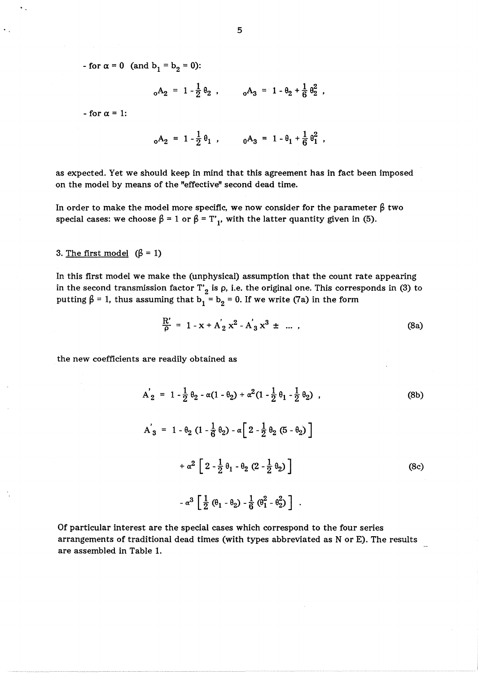- for  $\alpha = 0$  (and  $b_1 = b_2 = 0$ ):

 $_0A_2 = 1 - \frac{1}{2} \theta_2$ ,  $_0A_3 = 1 - \theta_2 + \frac{1}{6} \theta_2^2$ ,

 $-$  for  $\alpha = 1$ :

$$
_{0}A_{2} = 1 - \frac{1}{2} \theta_{1}
$$
,  $_{0}A_{3} = 1 - \theta_{1} + \frac{1}{6} \theta_{1}^{2}$ ,

as expected. Yet we should keep in mind that this agreement has in fact been imposed on the model by means of the "effective" second dead time.

In order to make the model more specific, we now consider for the parameter  $\beta$  two special cases: we choose  $\beta = 1$  or  $\beta = T'_1$ , with the latter quantity given in (5).

# 3. The first model  $(\beta = 1)$

In this first model we make the (unphysical) assumption that the count rate appearing in the second transmission factor  $T'_2$  is  $\rho$ , i.e. the original one. This corresponds in (3) to putting  $\beta = 1$ , thus assuming that  $b_1 = b_2 = 0$ . If we write (7a) in the form<br> $\frac{R'}{\beta} = 1 - x + A_2' x^2 - A_3' x^3 + \dots$ , (8a)

$$
\frac{R'}{\rho} = 1 - x + A'_2 x^2 - A'_3 x^3 \pm \dots \,,
$$
 (8a)

the new coefficients are readily obtained as

$$
A'_{2} = 1 - \frac{1}{2} \theta_{2} - \alpha (1 - \theta_{2}) + \alpha^{2} (1 - \frac{1}{2} \theta_{1} - \frac{1}{2} \theta_{2})
$$
\n
$$
A'_{3} = 1 - \theta_{2} (1 - \frac{1}{6} \theta_{2}) - \alpha \left[ 2 - \frac{1}{2} \theta_{2} (5 - \theta_{2}) \right]
$$
\n
$$
+ \alpha^{2} \left[ 2 - \frac{1}{2} \theta_{1} - \theta_{2} (2 - \frac{1}{2} \theta_{2}) \right]
$$
\n
$$
- \alpha^{3} \left[ \frac{1}{2} (\theta_{1} - \theta_{2}) - \frac{1}{6} (\theta_{1}^{2} - \theta_{2}^{2}) \right]
$$
\n(8c)

Of particular interest are the special cases which correspond to the four series arrangements of traditional dead times (with types abbreviated as N or E). The results are assembled in Table 1.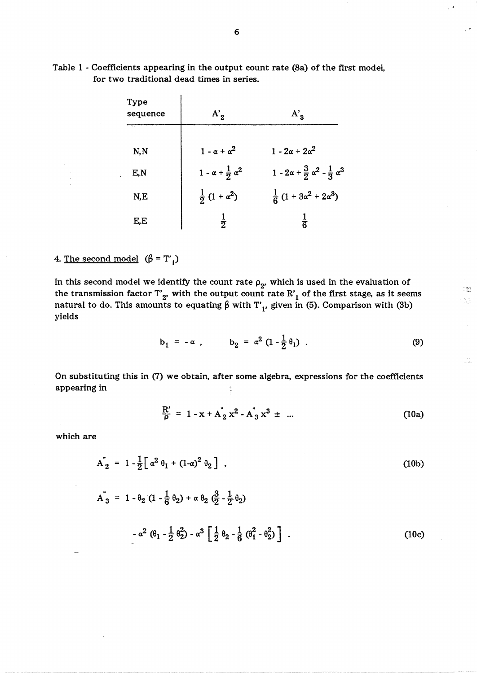| Type<br>sequence | $A'_2$                              | $A'_3$                                                      |  |
|------------------|-------------------------------------|-------------------------------------------------------------|--|
| N, N             | $1 - \alpha + \alpha^2$             | $1 - 2\alpha + 2\alpha^2$                                   |  |
| E,N              | $1 - \alpha + \frac{1}{2} \alpha^2$ | $1 - 2\alpha + \frac{3}{2} \alpha^2 - \frac{1}{3} \alpha^3$ |  |
| N,E              | $\frac{1}{2}(1+\alpha^2)$           | $\frac{1}{6}(1+3\alpha^2+2\alpha^3)$                        |  |
| E,E              | $\frac{1}{2}$                       | ត់                                                          |  |

Table 1 - Coefficients appearing in the output count rate (8a) of the first model, for two traditional dead times in series.

 $\ddot{\phantom{0}}$ 

# 4. The second model  $(\beta = T'_1)$

In this second model we identify the count rate  $\rho_2$ , which is used in the evaluation of the transmission factor T'<sub>2</sub>, with the output count rate R'<sub>1</sub> of the first stage, as it seems natural to do. This amounts to equating  $\beta$  with T'<sub>1</sub>, given in (5). Comparison with (3b) yields

$$
b_1 = -\alpha
$$
,  $b_2 = \alpha^2 (1 - \frac{1}{2} \theta_1)$ . (9)

erwer<br>Sie  $\begin{array}{c} \gamma_{\mu\nu}^{\mu\nu} \gamma_{\mu\nu}^{\nu\sigma} \gamma_{\nu\sigma}^{\nu\sigma} \gamma_{\nu\sigma}^{\nu\sigma} \gamma_{\sigma}^{\nu\sigma} \gamma_{\sigma}^{\nu\sigma} \gamma_{\sigma}^{\nu\sigma} \gamma_{\sigma}^{\nu\sigma} \gamma_{\sigma}^{\nu\sigma} \gamma_{\sigma}^{\nu\sigma} \gamma_{\sigma}^{\nu\sigma} \gamma_{\sigma}^{\nu\sigma} \gamma_{\sigma}^{\nu\sigma} \gamma_{\sigma}^{\nu\sigma} \gamma_{\sigma}^{\nu\sigma} \gamma_{\sigma}^{\nu\sigma} \gamma_{\sigma}^{\nu\sigma} \$ 

On substituting this in (7) we obtain, after some algebra, expressions for the coefficients appearing in

$$
\frac{R'}{\rho} = 1 - x + A_2^* x^2 - A_3^* x^3 \pm \dots \tag{10a}
$$

which are

$$
A_{2}^{*} = 1 - \frac{1}{2} \left[ \alpha^{2} \theta_{1} + (1 - \alpha)^{2} \theta_{2} \right],
$$
\n(10b)  
\n
$$
A_{3}^{*} = 1 - \theta_{2} (1 - \frac{1}{6} \theta_{2}) + \alpha \theta_{2} (\frac{3}{2} - \frac{1}{2} \theta_{2})
$$
\n
$$
- \alpha^{2} (\theta_{1} - \frac{1}{2} \theta_{2}^{2}) - \alpha^{3} \left[ \frac{1}{2} \theta_{2} - \frac{1}{6} (\theta_{1}^{2} - \theta_{2}^{2}) \right].
$$
\n(10c)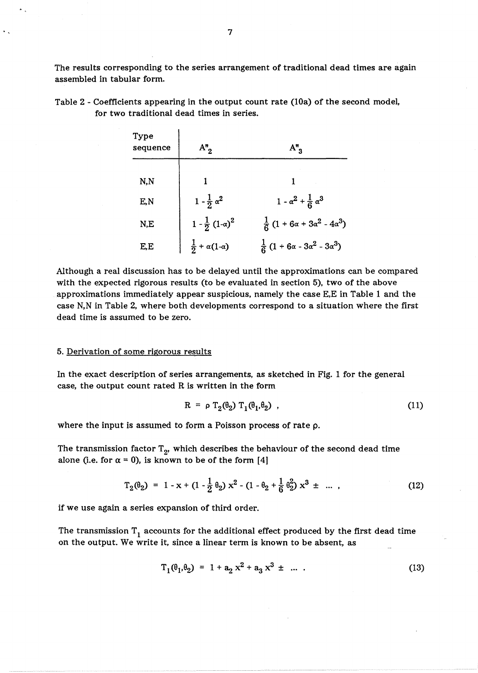The results corresponding to the series arrangement of traditional dead times are again assembled in tabular form.

| Type<br>sequence | $A_{2}^{n}$                      | $A_{3}^{\prime\prime}$                       |
|------------------|----------------------------------|----------------------------------------------|
| N, N             |                                  |                                              |
| E,N              | $1 - \frac{1}{2} \alpha^2$       | $1 - \alpha^2 + \frac{1}{6} \alpha^3$        |
| N,E              | $1 - \frac{1}{2} (1 - \alpha)^2$ | $\frac{1}{6}(1+6\alpha+3\alpha^2-4\alpha^3)$ |
| E,E              | $\frac{1}{2} + \alpha(1-\alpha)$ | $\frac{1}{6}(1+6\alpha-3\alpha^2-3\alpha^3)$ |

Table 2 - Coefficients appearing in the output count rate (10a) of the second model, for two traditional dead times in series.

Although a real discussion has to be delayed until the approximations can be compared with the expected rigorous results (to be evaluated in section 5), two of the above approximations immediately appear suspicious, namely the case E,E in Table 1 and the case N,N in Table 2, where both developments correspond to a situation where the first dead time is assumed to be zero.

### 5. Derivation of some rigorous results

In the exact description of series arrangements, as sketched in Fig. 1 for the general case, the output count rated R is written in the form

$$
R = \rho T_2(\theta_2) T_1(\theta_1, \theta_2) \tag{11}
$$

where the input is assumed to form a Poisson process of rate p.

The transmission factor  $T_{2'}$ , which describes the behaviour of the second dead time alone (i.e. for  $\alpha = 0$ ), is known to be of the form [4]

$$
T_2(\theta_2) = 1 - x + (1 - \frac{1}{2}\theta_2) x^2 - (1 - \theta_2 + \frac{1}{6}\theta_2^2) x^3 \pm \dots \tag{12}
$$

if we use again a series expansion of third order.

The transmission  $T_1$  accounts for the additional effect produced by the first dead time on the output. We write it, since a linear term is known to be absent, as

$$
T_1(\theta_1, \theta_2) = 1 + a_2 x^2 + a_3 x^3 \pm \dots \tag{13}
$$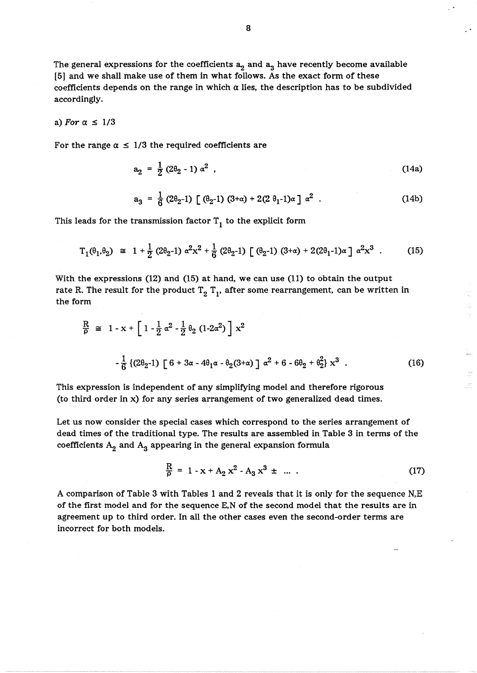The general expressions for the coefficients  $a_2$  and  $a_3$  have recently become available [5] and we shall make use of them in what follows. As the exact form of these coefficients depends on the range in which  $\alpha$  lies, the description has to be subdivided accordingly.

### a) For  $\alpha \leq 1/3$

For the range  $\alpha \leq 1/3$  the required coefficients are

$$
a_2 = \frac{1}{2} (2\theta_2 - 1) \alpha^2 \tag{14a}
$$

$$
a_3 = \frac{1}{6} (2\theta_2 - 1) \left[ (\theta_2 - 1) (3 + \alpha) + 2(2 \theta_1 - 1) \alpha \right] \alpha^2
$$
 (14b)

This leads for the transmission factor  $T_1$  to the explicit form

$$
T_1(\theta_1, \theta_2) \cong 1 + \frac{1}{2} (2\theta_2 - 1) \alpha^2 x^2 + \frac{1}{6} (2\theta_2 - 1) \left[ (\theta_2 - 1) (3 + \alpha) + 2(2\theta_1 - 1) \alpha \right] \alpha^2 x^3 \quad . \tag{15}
$$

With the expressions (12) and (15) at hand, we can use (11) to obtain the output rate R. The result for the product  $T_2$   $T_1$ , after some rearrangement, can be written in the form

$$
\frac{R}{\rho} \cong 1 - x + \left[ 1 - \frac{1}{2} \alpha^2 - \frac{1}{2} \theta_2 (1 - 2\alpha^2) \right] x^2
$$
  

$$
-\frac{1}{6} \left\{ (2\theta_2 - 1) \left[ 6 + 3\alpha - 4\theta_1 \alpha - \theta_2 (3 + \alpha) \right] \alpha^2 + 6 - 6\theta_2 + \theta_2^2 \right\} x^3 .
$$
 (16)

This expression is independent of any simplifying model and therefore rigorous (to third order in x) for any series arrangement of two generalized dead times.

Let us now consider the special cases which correspond to the series arrangement of dead times of the traditional type. The results are assembled in Table 3 in terms of the coefficients  $A_2$  and  $A_3$  appearing in the general expansion formula

$$
\frac{R}{\rho} = 1 - x + A_2 x^2 - A_3 x^3 \pm \dots \tag{17}
$$

ŵ Йę.

t pro

A comparison of Table 3 with Tables 1 and 2 reveals that it is only for the sequence N,E of the first model and for the sequence E,N of the second model that the results are in agreement up to third order. In all the other cases even the second-order terms are incorrect for both models.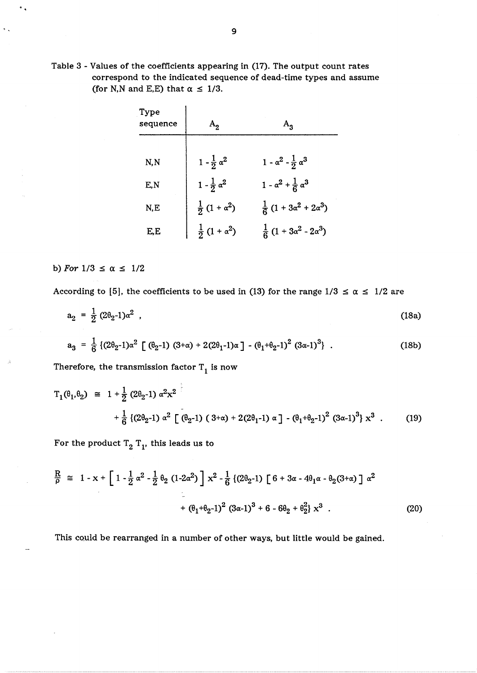Table 3 - Values of the coefficients appearing in (17). The output count rates correspond to the indicated sequence of dead-time types and assume (for N,N and E,E) that  $\alpha \leq 1/3$ .

 $\mathbf{I}$ 

| Type<br>sequence |                            | $A_{3}$                               |  |
|------------------|----------------------------|---------------------------------------|--|
| N, N             | $1 - \frac{1}{2} \alpha^2$ | $1 - \alpha^2 - \frac{1}{2} \alpha^3$ |  |
| E,N              | $1 - \frac{1}{2} \alpha^2$ | $1 - \alpha^2 + \frac{1}{6} \alpha^3$ |  |
| N,E              | $\frac{1}{2}(1+\alpha^2)$  | $\frac{1}{6}(1+3\alpha^2+2\alpha^3)$  |  |
| E,E              | $(1 + \alpha^2)$           | $\frac{1}{6}(1+3\alpha^2-2\alpha^3)$  |  |

# b) For  $1/3 \le \alpha \le 1/2$

According to [5], the coefficients to be used in (13) for the range  $1/3 \le \alpha \le 1/2$  are

$$
a_2 = \frac{1}{2} (2\theta_2 - 1)\alpha^2 \tag{18a}
$$

$$
a_3 = \frac{1}{6} \left\{ (2\theta_2 - 1)\alpha^2 \left[ (\theta_2 - 1) (3 + \alpha) + 2(2\theta_1 - 1)\alpha \right] - (\theta_1 + \theta_2 - 1)^2 (3\alpha - 1)^3 \right\} \ . \tag{18b}
$$

Therefore, the transmission factor  $T_1$  is now

$$
T_1(\theta_1, \theta_2) \cong 1 + \frac{1}{2} (2\theta_2 - 1) \alpha^2 x^2
$$
  
+  $\frac{1}{6} \{(2\theta_2 - 1) \alpha^2 \left[ (\theta_2 - 1) (3 + \alpha) + 2(2\theta_1 - 1) \alpha \right] - (\theta_1 + \theta_2 - 1)^2 (3\alpha - 1)^3} x^3$ . (19)

For the product  $T_2$   $T_1$ , this leads us to

$$
\frac{R}{\rho} \cong 1 - x + \left[ 1 - \frac{1}{2} \alpha^2 - \frac{1}{2} \theta_2 (1 - 2\alpha^2) \right] x^2 - \frac{1}{6} \left\{ (2\theta_2 - 1) \left[ 6 + 3\alpha - 4\theta_1 \alpha - \theta_2 (3 + \alpha) \right] \alpha^2 + \left( \theta_1 + \theta_2 - 1 \right)^2 (3\alpha - 1)^3 + 6 - 6\theta_2 + \theta_2^2 \right\} x^3 \qquad (20)
$$

This could be rearranged in a number of other ways, but little would be gained.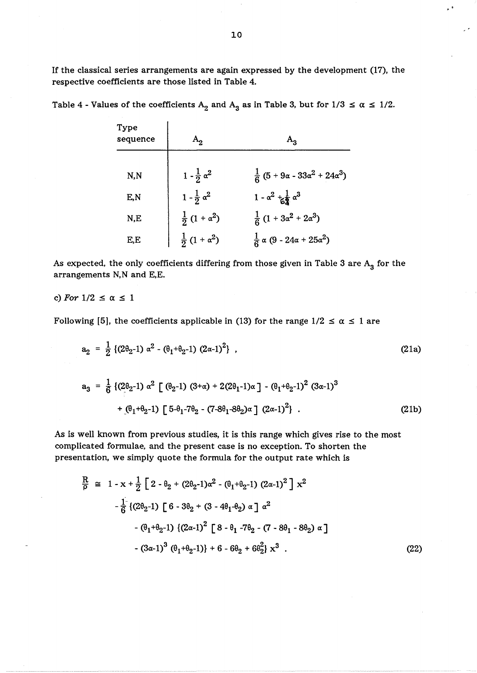If the classical series arrangements are again expressed by the development (17), the respective coefficients are those listed in Table 4.

| Type<br>sequence | $A_2$                      | $A_{\mathbf{a}}$                                                    |
|------------------|----------------------------|---------------------------------------------------------------------|
| N, N             | $1 - \frac{1}{2} \alpha^2$ | $\frac{1}{6}$ (5 + 9 $\alpha$ - 33 $\alpha^{2}$ + 24 $\alpha^{3}$ ) |
| E,N              | $1 - \frac{1}{2} \alpha^2$ | $1 - \alpha^2 + \frac{1}{62} \alpha^3$                              |
| N,E              | $\frac{1}{2}(1+\alpha^2)$  | $\frac{1}{6}(1+3\alpha^2+2\alpha^3)$                                |
| E,E              | $\frac{1}{2}(1+\alpha^2)$  | $\frac{1}{6} \alpha (9 - 24\alpha + 25\alpha^2)$                    |

Table 4 - Values of the coefficients  $A_2$  and  $A_3$  as in Table 3, but for  $1/3 \le \alpha \le 1/2$ .

As expected, the only coefficients differing from those given in Table 3 are  $A_3$  for the arrangements N,N and E,E.

### c) For  $1/2 \leq \alpha \leq 1$

Following [5], the coefficients applicable in (13) for the range  $1/2 \le \alpha \le 1$  are

$$
a_2 = \frac{1}{2} \left\{ (2\theta_2 - 1) \alpha^2 - (\theta_1 + \theta_2 - 1) (2\alpha - 1)^2 \right\},
$$
\n
$$
a_3 = \frac{1}{6} \left\{ (2\theta_2 - 1) \alpha^2 \left[ (\theta_2 - 1) (3 + \alpha) + 2(2\theta_1 - 1) \alpha \right] - (\theta_1 + \theta_2 - 1)^2 (3\alpha - 1)^3 \right\} + (\theta_1 + \theta_2 - 1) \left[ 5 - \theta_1 - 7\theta_2 - (7 - 8\theta_1 - 8\theta_2) \alpha \right] (2\alpha - 1)^2 \}
$$
\n(21b)

As is well known from previous studies, it is this range which gives rise to the most complicated formulae, and the present case is no exception. To shorten the presentation, we simply quote the formula for the output rate which is

$$
\frac{R}{\rho} \cong 1 - x + \frac{1}{2} \left[ 2 - \theta_2 + (2\theta_2 - 1)\alpha^2 - (\theta_1 + \theta_2 - 1) (2\alpha - 1)^2 \right] x^2
$$
  
\n
$$
-\frac{1}{6} \left\{ (2\theta_2 - 1) \left[ 6 - 3\theta_2 + (3 - 4\theta_1 - \theta_2) \alpha \right] \alpha^2
$$
  
\n
$$
-(\theta_1 + \theta_2 - 1) \left\{ (2\alpha - 1)^2 \left[ 8 - \theta_1 - 7\theta_2 - (7 - 8\theta_1 - 8\theta_2) \alpha \right] \right\}
$$
  
\n
$$
-(3\alpha - 1)^3 (\theta_1 + \theta_2 - 1) \right\} + 6 - 6\theta_2 + 6\theta_2^2 \right\} x^3
$$
 (22)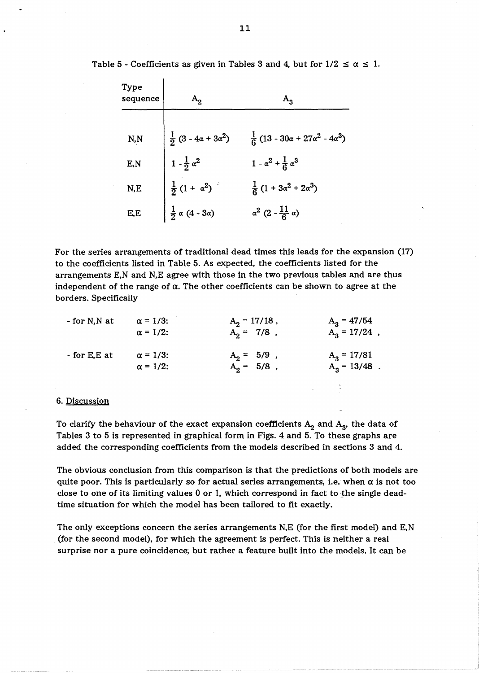| Type<br>sequence |                                    | $A_{3}$                                         |
|------------------|------------------------------------|-------------------------------------------------|
| N, N             | $\frac{1}{2}(3-4\alpha+3\alpha^2)$ | $\frac{1}{6}(13-30\alpha+27\alpha^2-4\alpha^3)$ |
| E,N              | $1 - \frac{1}{2} \alpha^2$         | $1 - \alpha^2 + \frac{1}{6} \alpha^3$           |
| N,E              | $\frac{1}{2}(1 + \alpha^2)^{-3}$   | $\frac{1}{6}(1+3\alpha^2+2\alpha^3)$            |
| E,E              | $\frac{1}{2} \alpha (4 - 3\alpha)$ | $\alpha^2 (2 - \frac{11}{6} \alpha)$            |

Table 5 - Coefficients as given in Tables 3 and 4, but for  $1/2 \le \alpha \le 1$ .

For the series arrangements of traditional dead times this leads for the expansion (17) to the coefficients listed in Table 5. As expected, the coefficients listed for the arrangements E,N and N,E agree with those in the two previous tables and are thus independent of the range of  $\alpha$ . The other coefficients can be shown to agree at the borders. Specifically

| $-$ for N,N at | $\alpha = 1/3$ : | $A_2 = 17/18$ , | $A_3 = 47/54$   |
|----------------|------------------|-----------------|-----------------|
|                | $\alpha = 1/2$ : | $A_2 = 7/8$ ,   | $A_3 = 17/24$ , |
| $-$ for E,E at | $\alpha = 1/3$ : | $A_2 = 5/9$ ,   | $A_3 = 17/81$   |
|                | $\alpha = 1/2$ : | $A_2 = 5/8$ ,   | $A_3 = 13/48$ . |

### 6. Discussion

To clarify the behaviour of the exact expansion coefficients  $A_2$  and  $A_3$ , the data of Tables 3 to 5 is represented in graphical form in Figs. 4 and 5. To these graphs are added the corresponding coefficients from the models described in sections 3 and 4.

The obvious conclusion from this comparison is that the predictions of both models are quite poor. This is particularly so for actual series arrangements, i.e. when  $\alpha$  is not too close to one of its limiting values 0 or 1, which correspond in fact to the single deadtime situation for which the model has been tailored to fit exactly.

The only exceptions concern the series arrangements N,E (for the first model) and E,N (for the second model), for which the agreement is perfect. This is neither a real surprise nor a pure coincidence; but rather a feature built into the models. It can be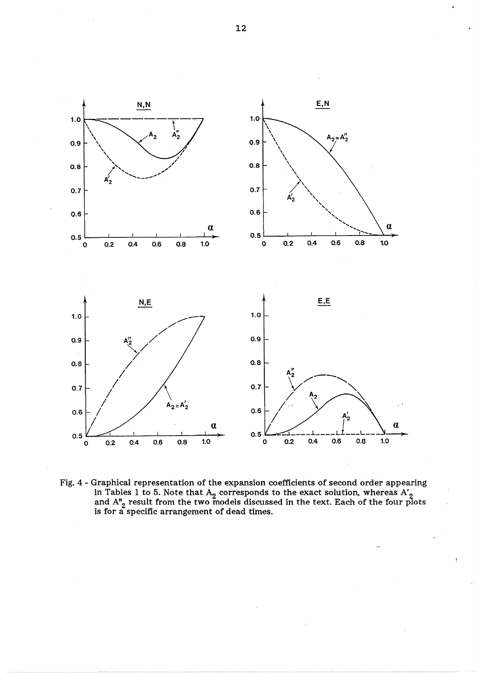

Fig. 4 - Graphical representation of the expansion coefficients of second order appearing in Tables 1 to 5. Note that  ${\rm A}^2_{22}$  corresponds to the exact solution, whereas  ${\rm A}^2_{22}$ and  $A_{2}^{n}$  result from the two models discussed in the text. Each of the four plots is for a specific arrangement of dead times.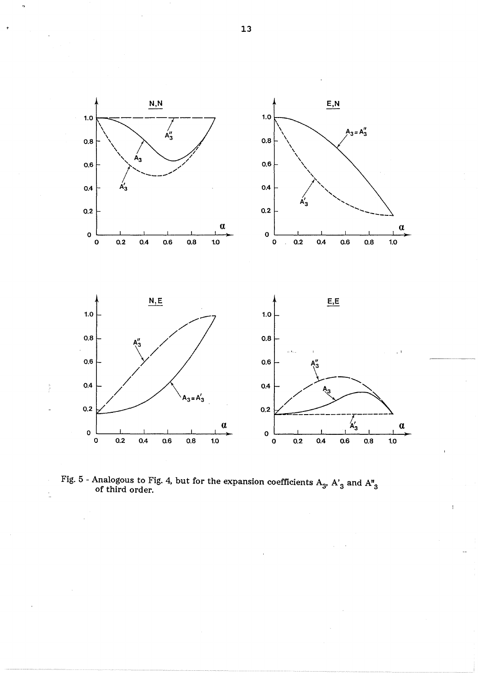

Fig. 5 - Analogous to Fig. 4, but for the expansion coefficients  $\rm A_o$ ,  $\rm A_o'$  and  $\rm A_o''$ of third order.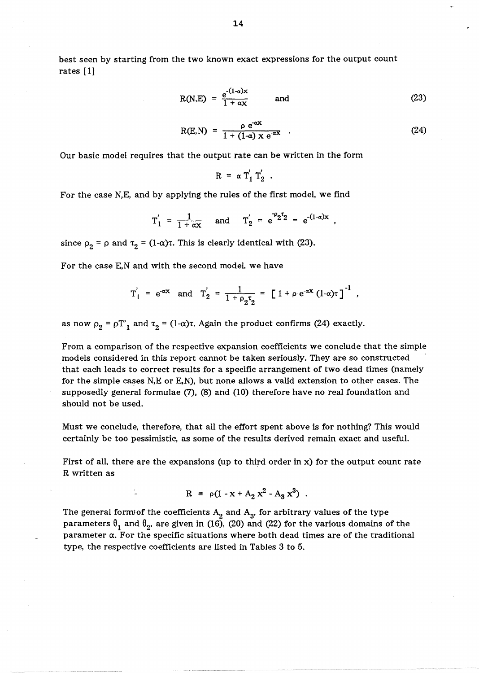best seen by starting from the two known exact expressions for the output count rates [1]

$$
R(N,E) = \frac{e^{-(1-\alpha)x}}{1+\alpha x} \quad \text{and} \quad (23)
$$

$$
R(E,N) = \frac{\rho e^{-\alpha X}}{1 + (1-\alpha) \times e^{-\alpha X}} \quad . \tag{24}
$$

Our basic model requires that the output rate can be written in the form

$$
R = \alpha T_1' T_2' .
$$

For the case N,E, and by applying the rules of the first model, we find

$$
T'_1 = \frac{1}{1 + \alpha x}
$$
 and  $T'_2 = e^{-2^T 2} = e^{-(1 - \alpha)x}$ 

since  $\rho_2 = \rho$  and  $\tau_2 = (1-\alpha)\tau$ . This is clearly identical with (23).

For the case E,N and with the second model, we have

$$
T'_1 = e^{-\alpha x}
$$
 and  $T'_2 = \frac{1}{1 + \rho_2 \tau_2} = [1 + \rho e^{-\alpha x} (1 - \alpha) \tau]^{-1}$ ,

as now  $\rho_2 = \rho T_1'$  and  $\tau_2 = (1-\alpha)\tau$ . Again the product confirms (24) exactly.

From a comparison of the respective expansion coefficients we conclude that the simple models considered in this report cannot be taken seriously. They are so constructed that each leads to correct results for a specific arrangement of two dead times (namely for the simple cases N,E or E,N), but none allows a valid extension to other cases. The supposedly general formulae (7), (8) and (10) therefore have no real foundation and should not be used.

Must we conclude, therefore, that all the effort spent above is for nothing? This would certainly be too pessimistic, as some of the results derived remain exact and useful.

First of all, there are the expansions (up to third order in x) for the output count rate R written as

$$
R = \rho (1 - x + A_2 x^2 - A_3 x^3) .
$$

The general form of the coefficients  $A_2$  and  $A_3$ , for arbitrary values of the type parameters  $\theta_1$  and  $\theta_2$ , are given in (16), (20) and (22) for the various domains of the parameter *a.* For the specific situations where both dead times are of the traditional type, the respective coefficients are listed in Tables 3 to 5.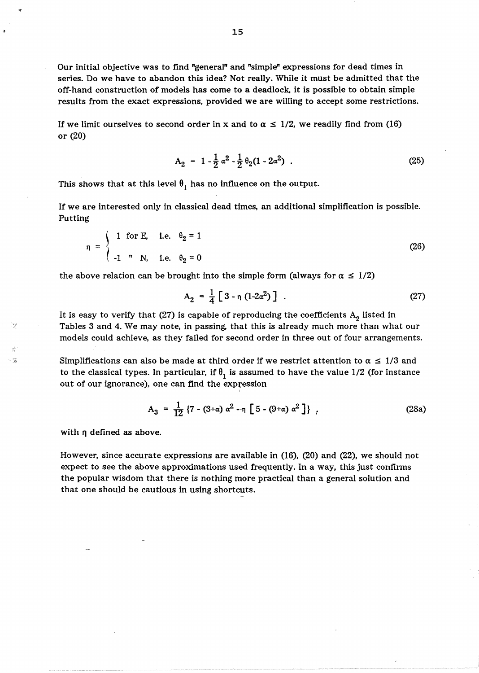Our initial objective was to find "general" and "simple" expressions for dead times in series. Do we have to abandon this idea? Not really. While it must be admitted that the off-hand construction of models has come to a deadlock, it is possible to obtain simple results from the exact expressions, provided we are willing to accept some restrictions.

If we limit ourselves to second order in x and to  $\alpha \leq 1/2$ , we readily find from (16) or (20)

$$
A_2 = 1 - \frac{1}{2} \alpha^2 - \frac{1}{2} \theta_2 (1 - 2\alpha^2) \quad . \tag{25}
$$

This shows that at this level  $\theta_1$  has no influence on the output.

If we are interested only in classical dead times, an additional simplification is possible. Putting

$$
\eta = \begin{cases} 1 & \text{for } E, \quad i.e. \quad \theta_2 = 1 \\ -1 & \text{if } N, \quad i.e. \quad \theta_2 = 0 \end{cases}
$$
 (26)

the above relation can be brought into the simple form (always for  $\alpha \leq 1/2$ )

$$
A_2 = \frac{1}{4} [3 - \eta (1 - 2\alpha^2)] \tag{27}
$$

It is easy to verify that (27) is capable of reproducing the coefficients  $A_2$  listed in Tables 3 and 4. We may note, in passing, that this is already much more than what our models could achieve, as they failed for second order in three out of four arrangements.

Simplifications can also be made at third order if we restrict attention to  $\alpha \leq 1/3$  and to the classical types. In particular, if  $\theta_1$  is assumed to have the value 1/2 (for instance out of our ignorance), one can find the expression

$$
A_3 = \frac{1}{12} \left\{ 7 - (3+\alpha) \alpha^2 - \eta \left[ 5 - (9+\alpha) \alpha^2 \right] \right\},
$$
 (28a)

with  $\eta$  defined as above.

ැ ශූ

However, since accurate expressions are available in (16), (20) and (22), we should not expect to see the above approximations used frequently. In a way, this just confirms the popular wisdom that there is nothing more practical than a general solution and that one should be cautious in using shortcuts.